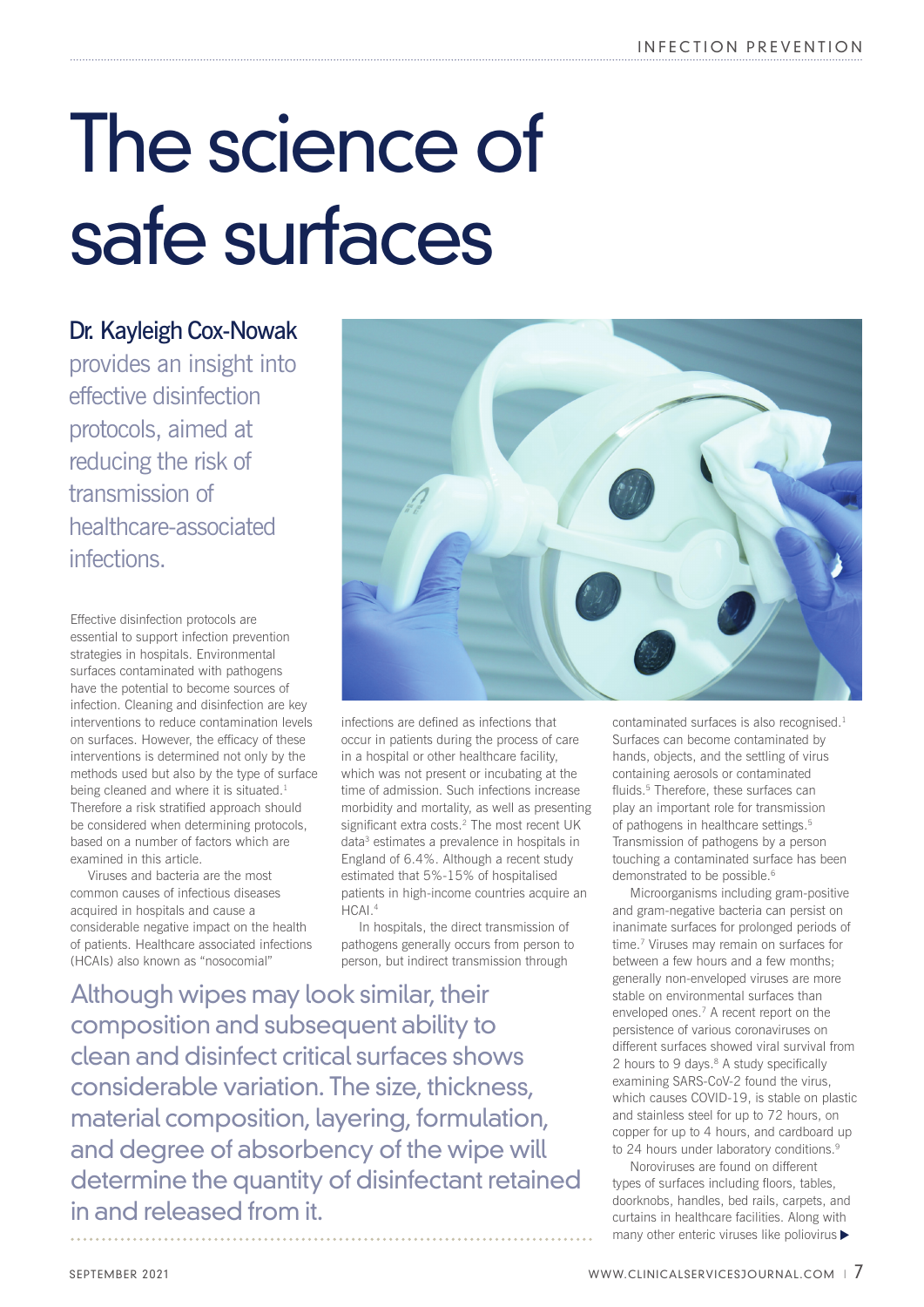## The science of safe surfaces

## Dr. Kayleigh Cox-Nowak

provides an insight into effective disinfection protocols, aimed at reducing the risk of transmission of healthcare-associated infections.

Effective disinfection protocols are essential to support infection prevention strategies in hospitals. Environmental surfaces contaminated with pathogens have the potential to become sources of infection. Cleaning and disinfection are key interventions to reduce contamination levels on surfaces. However, the efficacy of these interventions is determined not only by the methods used but also by the type of surface being cleaned and where it is situated.<sup>1</sup> Therefore a risk stratified approach should be considered when determining protocols, based on a number of factors which are examined in this article.

Viruses and bacteria are the most common causes of infectious diseases acquired in hospitals and cause a considerable negative impact on the health of patients. Healthcare associated infections (HCAIs) also known as "nosocomial"



infections are defined as infections that occur in patients during the process of care in a hospital or other healthcare facility, which was not present or incubating at the time of admission. Such infections increase morbidity and mortality, as well as presenting significant extra costs.<sup>2</sup> The most recent UK data3 estimates a prevalence in hospitals in England of 6.4%. Although a recent study estimated that 5%-15% of hospitalised patients in high-income countries acquire an HCAI.4

In hospitals, the direct transmission of pathogens generally occurs from person to person, but indirect transmission through

Although wipes may look similar, their composition and subsequent ability to clean and disinfect critical surfaces shows considerable variation. The size, thickness, material composition, layering, formulation, and degree of absorbency of the wipe will determine the quantity of disinfectant retained in and released from it.

contaminated surfaces is also recognised.<sup>1</sup> Surfaces can become contaminated by hands, objects, and the settling of virus containing aerosols or contaminated fluids.<sup>5</sup> Therefore, these surfaces can play an important role for transmission of pathogens in healthcare settings.<sup>5</sup> Transmission of pathogens by a person touching a contaminated surface has been demonstrated to be possible.<sup>6</sup>

Microorganisms including gram-positive and gram-negative bacteria can persist on inanimate surfaces for prolonged periods of time.<sup>7</sup> Viruses may remain on surfaces for between a few hours and a few months; generally non-enveloped viruses are more stable on environmental surfaces than enveloped ones.7 A recent report on the persistence of various coronaviruses on different surfaces showed viral survival from 2 hours to 9 days.<sup>8</sup> A study specifically examining SARS-CoV-2 found the virus, which causes COVID-19, is stable on plastic and stainless steel for up to 72 hours, on copper for up to 4 hours, and cardboard up to 24 hours under laboratory conditions.<sup>9</sup>

Noroviruses are found on different types of surfaces including floors, tables, doorknobs, handles, bed rails, carpets, and curtains in healthcare facilities. Along with many other enteric viruses like poliovirus  $\blacktriangleright$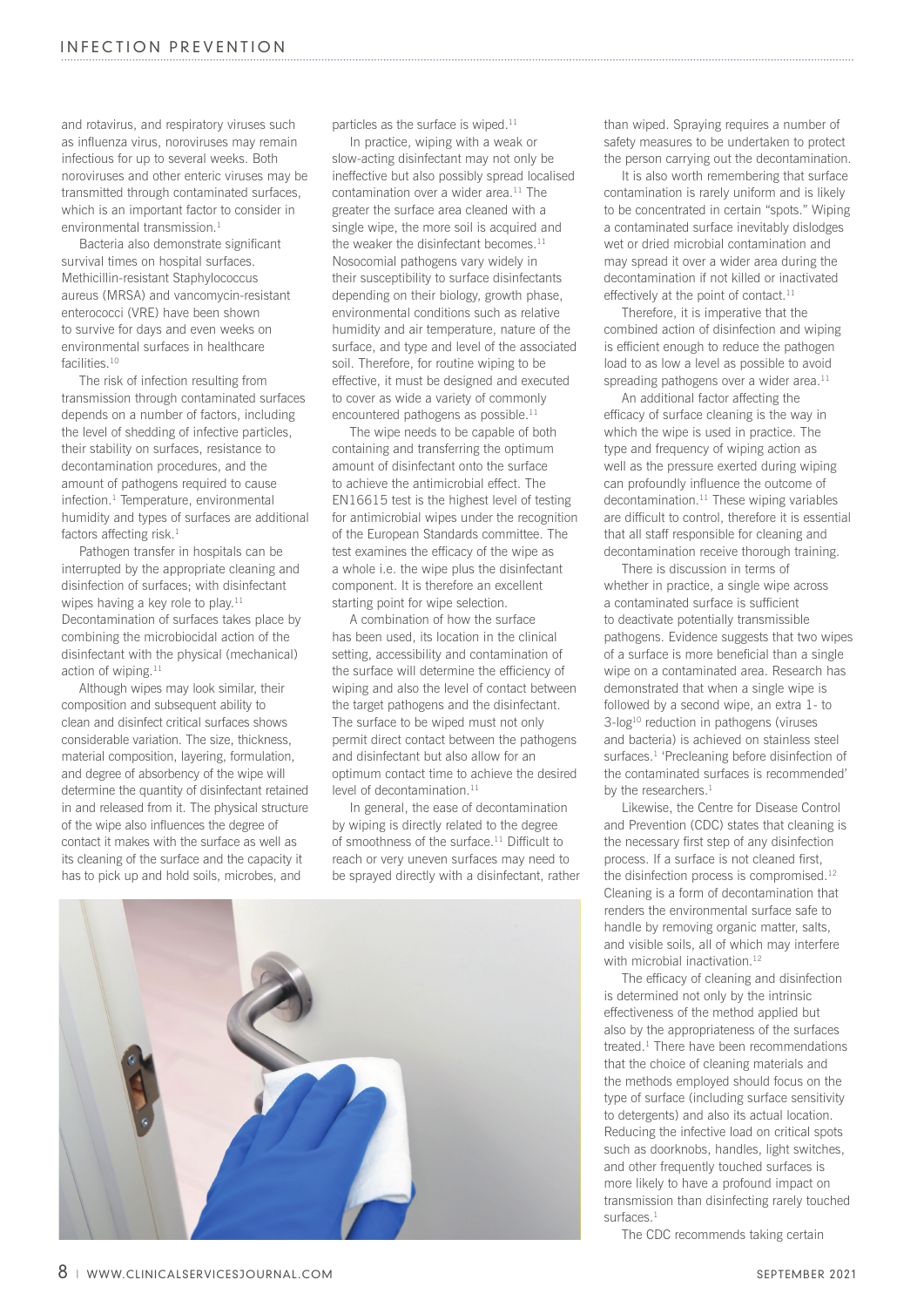and rotavirus, and respiratory viruses such as influenza virus, noroviruses may remain infectious for up to several weeks. Both noroviruses and other enteric viruses may be transmitted through contaminated surfaces, which is an important factor to consider in environmental transmission.<sup>1</sup>

Bacteria also demonstrate significant survival times on hospital surfaces. Methicillin-resistant Staphylococcus aureus (MRSA) and vancomycin-resistant enterococci (VRE) have been shown to survive for days and even weeks on environmental surfaces in healthcare facilities.10

The risk of infection resulting from transmission through contaminated surfaces depends on a number of factors, including the level of shedding of infective particles, their stability on surfaces, resistance to decontamination procedures, and the amount of pathogens required to cause infection.<sup>1</sup> Temperature, environmental humidity and types of surfaces are additional factors affecting risk.<sup>1</sup>

Pathogen transfer in hospitals can be interrupted by the appropriate cleaning and disinfection of surfaces; with disinfectant wipes having a key role to play.<sup>11</sup> Decontamination of surfaces takes place by combining the microbiocidal action of the disinfectant with the physical (mechanical) action of wiping.<sup>11</sup>

Although wipes may look similar, their composition and subsequent ability to clean and disinfect critical surfaces shows considerable variation. The size, thickness, material composition, layering, formulation, and degree of absorbency of the wipe will determine the quantity of disinfectant retained in and released from it. The physical structure of the wipe also influences the degree of contact it makes with the surface as well as its cleaning of the surface and the capacity it has to pick up and hold soils, microbes, and

particles as the surface is wiped.<sup>11</sup>

In practice, wiping with a weak or slow-acting disinfectant may not only be ineffective but also possibly spread localised contamination over a wider area.<sup>11</sup> The greater the surface area cleaned with a single wipe, the more soil is acquired and the weaker the disinfectant becomes. $11$ Nosocomial pathogens vary widely in their susceptibility to surface disinfectants depending on their biology, growth phase, environmental conditions such as relative humidity and air temperature, nature of the surface, and type and level of the associated soil. Therefore, for routine wiping to be effective, it must be designed and executed to cover as wide a variety of commonly encountered pathogens as possible.<sup>11</sup>

The wipe needs to be capable of both containing and transferring the optimum amount of disinfectant onto the surface to achieve the antimicrobial effect. The EN16615 test is the highest level of testing for antimicrobial wipes under the recognition of the European Standards committee. The test examines the efficacy of the wipe as a whole i.e. the wipe plus the disinfectant component. It is therefore an excellent starting point for wipe selection.

A combination of how the surface has been used, its location in the clinical setting, accessibility and contamination of the surface will determine the efficiency of wiping and also the level of contact between the target pathogens and the disinfectant. The surface to be wiped must not only permit direct contact between the pathogens and disinfectant but also allow for an optimum contact time to achieve the desired level of decontamination.<sup>11</sup>

In general, the ease of decontamination by wiping is directly related to the degree of smoothness of the surface.<sup>11</sup> Difficult to reach or very uneven surfaces may need to be sprayed directly with a disinfectant, rather



than wiped. Spraying requires a number of safety measures to be undertaken to protect the person carrying out the decontamination.

It is also worth remembering that surface contamination is rarely uniform and is likely to be concentrated in certain "spots." Wiping a contaminated surface inevitably dislodges wet or dried microbial contamination and may spread it over a wider area during the decontamination if not killed or inactivated effectively at the point of contact.<sup>11</sup>

Therefore, it is imperative that the combined action of disinfection and wiping is efficient enough to reduce the pathogen load to as low a level as possible to avoid spreading pathogens over a wider area. $11$ 

An additional factor affecting the efficacy of surface cleaning is the way in which the wipe is used in practice. The type and frequency of wiping action as well as the pressure exerted during wiping can profoundly influence the outcome of decontamination.<sup>11</sup> These wiping variables are difficult to control, therefore it is essential that all staff responsible for cleaning and decontamination receive thorough training.

There is discussion in terms of whether in practice, a single wipe across a contaminated surface is sufficient to deactivate potentially transmissible pathogens. Evidence suggests that two wipes of a surface is more beneficial than a single wipe on a contaminated area. Research has demonstrated that when a single wipe is followed by a second wipe, an extra 1- to 3-log<sup>10</sup> reduction in pathogens (viruses and bacteria) is achieved on stainless steel surfaces.1 'Precleaning before disinfection of the contaminated surfaces is recommended' by the researchers.<sup>1</sup>

Likewise, the Centre for Disease Control and Prevention (CDC) states that cleaning is the necessary first step of any disinfection process. If a surface is not cleaned first, the disinfection process is compromised.<sup>12</sup> Cleaning is a form of decontamination that renders the environmental surface safe to handle by removing organic matter, salts, and visible soils, all of which may interfere with microbial inactivation.<sup>12</sup>

The efficacy of cleaning and disinfection is determined not only by the intrinsic effectiveness of the method applied but also by the appropriateness of the surfaces treated.<sup>1</sup> There have been recommendations that the choice of cleaning materials and the methods employed should focus on the type of surface (including surface sensitivity to detergents) and also its actual location. Reducing the infective load on critical spots such as doorknobs, handles, light switches, and other frequently touched surfaces is more likely to have a profound impact on transmission than disinfecting rarely touched surfaces<sup>1</sup>

The CDC recommends taking certain